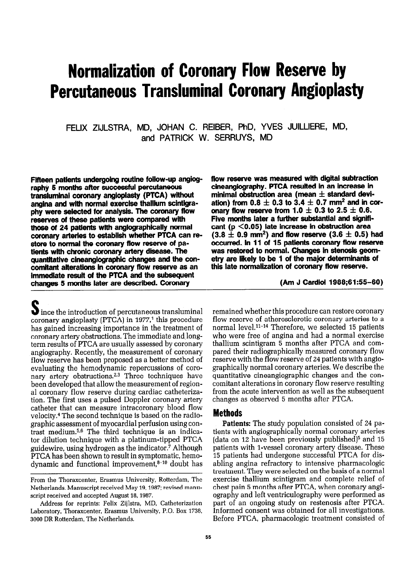# Normalization of Coronary Flow Reserve by Percutaneous Transluminal Coronary Angioplasty

FELIX ZIJLSTRA, MD, JOHAN C. REIBER, PhD, YVES JUILLIERE, MD, and PATRICK W. SERRUYS, MD

Fifteen patients undergoing routine follow-up angiography 5 months after successful percutaneous transluminal coronary angioplasty (PTCA) without angina and with normal exercise thallium scinttgraphy were selected for analysis. The coronary flow reserves of these patients were compared with those of 24 patients with angiographically normal coronary arteries to establish whether PTCA can restore to normal the coronary flow reserve of patients with chronic coronary artery disease. The quantitative cineangiographic changes and the concomitant alterations in coronary flow reserve as an immediate result of the PTCA and the subsequent changes 5 months later are described. Coronary

 $\bigcup$  ince the introduction of percutaneous transluminal coronary angioplasty (PTCA) in  $1977<sup>1</sup>$  this procedure has gained increasing importance in the treatment of coronary artery obstructions. The immediate and longterm results of PTCA are usually assessed by coronary angiography. Recently, the measurement of coronary flow reserve has been proposed as a better method of evaluating the hemodynamic repercussions of coronary artery obstructions.<sup>2,3</sup> Three techniques have been developed that allow the measurement of regional coronary flow reserve during cardiac catheterization. The first uses a pulsed Doppler coronary artery catheter that can measure intracoronary blood flow velocity.4 The second technique is based on the radiographic assessment of myocardial perfusion using contrast medium.5,6 The third technique is an indicator dilution technique with a platinum-tipped PTCA guidewire, using hydrogen as the indicator.' Although PTCA has been shown to result in symptomatic, hemodynamic and functional improvement,<sup>8-10</sup> doubt has

Address for reprints: Felix Zijlstra, MD, Catheterization Laboratory, Thoraxcenter, Erasmus University, P.O. Box 1738, 3000 DR Rotterdam, The Netherlands.

flow reserve was measured with digital subtraction cineangiography. PTCA resulted in an increase in minimal obstruction area (mean  $\pm$  standard deviation) from 0.8  $\pm$  0.3 to 3.4  $\pm$  0.7 mm<sup>2</sup> and in coronary flow reserve from 1.0  $\pm$  0.3 to 2.5  $\pm$  0.6. Five months later a further substantial and significant ( $p < 0.05$ ) late increase in obstruction area  $(3.8 \pm 0.9 \text{ mm}^2)$  and flow reserve  $(3.6 \pm 0.5)$  had occurred. In 11 of 15 patients coronary flow reserve was restored to normal. Changes in stenosis geometry are likely to be 1 of the major determinants of this late normalization of coronary flow reserve.

(Am J Cardiol 1988;61:55-60)

remained whether this procedure can restore coronary flow reserve of atherosclerotic coronary arteries to a normal level.<sup>11-14</sup> Therefore, we selected 15 patients who were free of angina and had a normal exercise thallium scintigram 5 months after PTCA and compared their radiographically measured coronary flow reserve with the flow reserve of 24 patients with angiographically normal coronary arteries. We describe the quantitative cineangiographic changes and the concomitant alterations in coronary flow reserve resulting from the acute intervention as well as the subsequent changes as observed 5 months after PTCA.

#### Methods

Patients: The study population consisted of 24 patients with angiographically normal coronary arteries (data on 12 have been previously published)<sup>5</sup> and 15 patients with l-vessel coronary artery disease. These 15 patients had undergone successful PTCA for disabling angina refractory to intensive pharmacologic treatment. They were selected on the basis of a normal exercise thallium scintigram and complete relief of chest pain 5 months after PTCA, when coronary angiography and left ventriculography were performed as part of an ongoing study on restenosis after PTCA. Informed consent was obtained for all investigations. Before PTCA, pharmacologic treatment consisted of

From the Thoraxcenter, Erasmus University, Rotterdam, The Netherlands. Manuscript received May 19,1987; revised manuscript received and accepted August 18, 1987.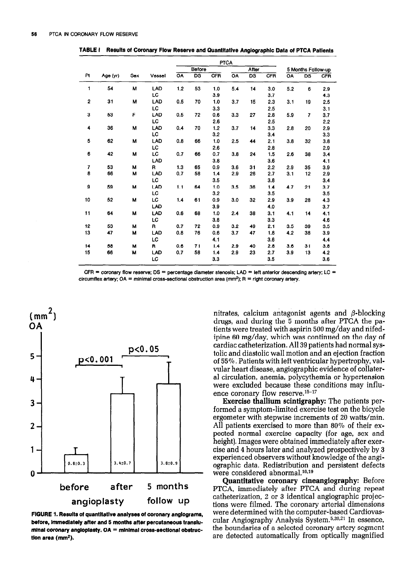|                |          |     |        |     | <b>PTCA</b>     |            |     |                          |            |     |                    |            |
|----------------|----------|-----|--------|-----|-----------------|------------|-----|--------------------------|------------|-----|--------------------|------------|
|                |          |     |        |     | Before          |            |     | After                    |            |     | 5 Months Follow-up |            |
| Pt             | Age (yr) | Sex | Vessel | OA  | $\overline{DS}$ | <b>CFR</b> | OA  | $\overline{\mathsf{DS}}$ | <b>CFR</b> | OA  | DS                 | <b>CFR</b> |
| 1              | 54       | M   | LAD    | 1.2 | 53              | 1.0        | 5.4 | 14                       | 3.0        | 5.2 | 6                  | 2.9        |
|                |          |     | LC     |     |                 | 3.9        |     |                          | 3.7        |     |                    | 4.3        |
| $\overline{2}$ | 31       | M   | LAD    | 0.5 | 70              | 1.0        | 3.7 | 15                       | 2.3        | 3.1 | 19                 | 2.5        |
|                |          |     | LC     |     |                 | 3.3        |     |                          | 2.5        |     |                    | 3.1        |
| 3              | 53       | F   | LAD    | 0.5 | 72              | 0.6        | 3,3 | 27                       | 2.8        | 5.9 | $\overline{7}$     | 3.7        |
|                |          |     | LC     |     |                 | 2.6        |     |                          | 2.5        |     |                    | 2.2        |
| 4              | 36       | М   | LAD    | 0.4 | 70              | 1.2        | 3.7 | 14                       | 3.3        | 2.8 | 20                 | 2,9        |
|                |          |     | LC     |     |                 | 3.2        |     |                          | 3.4        |     |                    | 3.3        |
| 5              | 62       | M   | LAD    | 0.8 | 66              | 1.0        | 2.5 | 44                       | 2.1        | 3.8 | 32                 | 3.8        |
|                |          |     | LC     |     |                 | 2.6        |     |                          | 2.8        |     |                    | 2.9        |
| 6              | 42       | M   | LC     | 0.7 | 66              | 0.7        | 3.8 | 24                       | 1.5        | 2.6 | 38                 | 3.4        |
|                |          |     | LAD    |     |                 | 3.8        |     |                          | 3.6        |     |                    | 4.1        |
| $\overline{I}$ | 53       | М   | R.     | 1.3 | 65              | 0.9        | 3.6 | 31                       | 2.2        | 2.9 | 35                 | 3.9        |
| 8              | 66       | M   | LAD    | 0.7 | 58              | 1.4        | 2.9 | 26                       | 2.7        | 3.1 | 12                 | 2.9        |
|                |          |     | LC     |     |                 | 3.5        |     |                          | 3.8        |     |                    | 3.4        |
| 9              | 59       | м   | LAD    | 1.1 | 64              | 1.0        | 3.5 | 36                       | 1.4        | 4.7 | 21                 | 3.7        |
|                |          |     | LC     |     |                 | 3.2        |     |                          | 3.5        |     |                    | 3.5        |
| 10             | 52       | M   | LC     | 1,4 | 61              | 0.9        | 3.0 | 32                       | 2.9        | 3.9 | 28                 | 4.3        |
|                |          |     | LAD    |     |                 | 3.9        |     |                          | 4.0        |     |                    | 3.7        |
| 11             | 64       | М   | LAD    | 0.6 | 68              | 1.0        | 2.4 | 38                       | 3.1        | 4.1 | 14                 | 4.1        |
|                |          |     | LC     |     |                 | 3.8        |     |                          | 3.3        |     |                    | 4.6        |
| 12             | 53       | M   | R.     | 0.7 | 72              | 0.9        | 3.2 | 49                       | 2.1        | 3.5 | 39                 | 3.5        |
| 13             | 47       | м   | LAD    | 0.8 | 76              | 0.6        | 3.7 | 47                       | 1.8        | 4.2 | 38                 | 3.9        |
|                |          |     | LC     |     |                 | 4.1        |     |                          | 3.6        |     |                    | 4.4        |
| 14             | 58       | M   | R      | 0.6 | 71              | 1.4        | 2.9 | 40                       | 2.8        | 3.6 | 31                 | 3.8        |
| 15             | 66       | M   | LAD    | 0.7 | 58              | 1.4        | 2.9 | 23                       | 2.7        | 3.9 | 13                 | 4.2        |
|                |          |     | LC     |     |                 | 3.3        |     |                          | 3.5        |     |                    | 3.6        |

**TABLE** I **Results of Coronary Flow Reserve and Quantitative Anglographic Data of PTCA Patients** 

**CFR = coronary flow reserve; DS = percentage diameter stenosis: LAD = left anterior descending artery: LC = circumflex artery; OA = mlnimal cross-sectional obstruction area (mm\*); R = right coronary artery.** 



**FIGURE 1. Results of quantltatlve analyses of coronary anglograms, before, lmmedlately after and 5 months afler percutaneous translu**minal coronary angioplasty. OA = minimal cross-sectional obstruc**tlon area (mm\*).** 

nitrates, calcium antagonist agents and  $\beta$ -blocking drugs, and during the 5 months after PTCA the patients were treated with aspirin **500** mg/day and nifedipine 60 mg/day, which was continued on the day of cardiac catheterization. All 39 patients had normal systolic and diastolic wall motion and an ejection fraction of **55%.** Patients with left ventricular hypertrophy, valvular heart disease, angiographic evidence of collateral circulation, anemia, polycythemia or hypertension were excluded because these conditions may influence coronary flow reserve.<sup>15-17</sup>

**Exercise thallium scintigraphy:** The patients performed a symptom-limited exercise test on the bicycle ergometer with stepwise increments of **20** watts/min. All patients exercised to more than 80% of their expected normal exercise capacity (for age, sex and height). Images were obtained immediately after exercise and 4 hours later and analyzed prospectively by 3 experienced observers without knowledge of the angiographic data. Redistribution and persistent defects were considered abnormal.<sup>18,19</sup>

**Quantitative coronary cineangiography:** Before **PTCA, immediately** after PTCA and during repeat catheterization, 2 or 3 identical angiographic projections were filmed. The coronary arterial dimensions were determined with the computer-based Cardiovascular Angiography Analysis System.<sup>5,20,21</sup> In essence. the boundaries of a selected coronary artery segment are detected automatically from optically magnified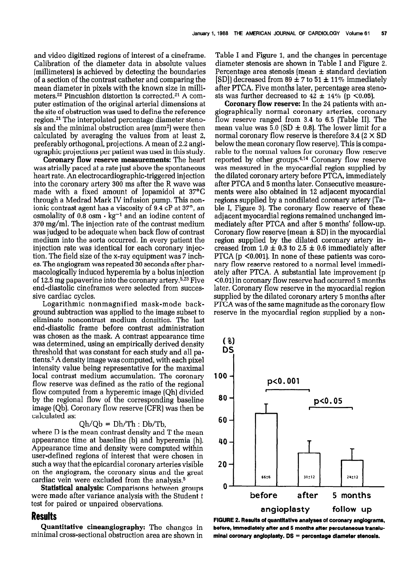and video digitized regions of interest of a cineframe. Calibration of the diameter data in absolute values [millimeters) is achieved by detecting the boundaries of a section of the contrast catheter and comparing the mean diameter in pixels with the known size in millimeters.22 Pincushion distortion is corrected.21 A computer estimation of the original arterial dimensions at the site of obstruction was used to define the reference region.21 The interpolated percentage diameter stenosis and the minimal obstruction area  $(mm<sup>2</sup>)$  were then calculated by averaging the values from at least 2, preferably orthogonal, projections. A mean of 2.2 angiographic projections per patient was used in this study.

Coronary flow reserve measurements: The heart was atrially paced at a rate just above the spontaneous heart rate. An electrocardiographic-triggered injection into the coronary artery 300 ms after the R wave was made with a fixed amount of Jopamidol at  $37^{\circ}$ C through a Medrad Mark IV infusion pump. This nonionic contrast agent has a viscosity of 9.4 cP at 37<sup>°</sup>, an osmolality of  $0.\bar{8}$  osm $\cdot$  kg<sup>-1</sup> and an iodine content of 370 mg/ml. The injection rate of the contrast medium was judged to be adequate when back flow of contrast medium into the aorta occurred. In every patient the injection rate was identical for each coronary injection. The field size of the x-ray equipment was 7 inches. The angiogram was repeated 30 seconds after pharmacologically induced hyperemia by a bolus injection of 12.5 mg papaverine into the coronary artery.<sup>5,23</sup> Five end-diastolic cineframes were selected from successive cardiac cycles.

Logarithmic nonmagnified mask-mode background subtraction was applied to the image subset to eliminate noncontrast medium densities. The last end-diastolic frame before contrast administration was chosen as the mask. A contrast appearance time was determined, using an empirically derived density threshold that was constant for each study and all patients.5 A density image was computed, with each pixel intensity value being representative for the maximal local contrast medium accumulation. The coronary flow reserve was defined as the ratio of the regional flow computed from a hyperemic image (Qh] divided by the regional flow of the corresponding baseline image (Qb). Coronary flow reserve (CFR) was then be calculated as:

#### $Qh/Qb = Dh/Th : Db/Tb$ ,

where D is the mean contrast density and T the mean appearance time at baseline (b) and hyperemia (h). Appearance time and density were computed within user-defined regions of interest that were chosen in such a way that the epicardial coronary arteries visible on the angiogram, the coronary sinus and the great cardiac vein were excluded from the analysis.<sup>5</sup>

Statistical analysis: Comparisons between groups were made after variance analysis with the Student t test for paired or unpaired observations.

#### Results

Quantitative cineangiography: The changes in minimal cross-sectional obstruction area are shown in Table I and Figure 1, and the changes in percentage diameter stenosis are shown in Table I and Figure 2. Percentage area stenosis (mean  $\pm$  standard deviation [SD]) decreased from 89  $\pm$  7 to 51  $\pm$  11% immediately after PTCA. Five months later, percentage area stenosis was further decreased to  $42 \pm 14\%$  (p <0.05).

Coronary flow reserve: In the 24 patients with angiographically normal coronary arteries, coronary flow reserve ranged from 3.4 to 6.5 [Table II]. The mean value was 5.0 (SD  $\pm$  0.8). The lower limit for a normal coronary flow reserve is therefore  $3.4$  ( $2 \times SD$ ) below the mean coronary flow reserve). This is comparable to the normal values for coronary flow reserve reported by other groups. $4,14$  Coronary flow reserve was measured in the myocardial region supplied by the dilated coronary artery before PTCA, immediately after PTCA and 5 months later. Consecutive measurements were also obtained in 12 adjacent myocardial regions supplied by a nondilated coronary artery (Table I, Figure 3). The coronary flow reserve of these adjacent myocardial regions remained unchanged immediately after PTCA and after 5 months' follow-up. Coronary flow reserve (mean  $\pm$  SD) in the myocardial region supplied by the dilated coronary artery increased from  $1.0 \pm 0.3$  to  $2.5 \pm 0.6$  immediately after PTCA ( $p \leq 0.001$ ). In none of these patients was coronary flow reserve restored to a normal level immediately after PTCA. A substantial late improvement (p  $(0.01)$  in coronary flow reserve had occurred 5 months later. Coronary flow reserve in the myocardial region supplied by the dilated coronary artery 5 months after PTCA was of the same magnitude as the coronary flow reserve in the myocardial region supplied by a non-



FIGURE 2. Results of quantltatlve analyses of coronary anglograms, before, immediately after and 5 months after percutaneous transluminal coronary angloplasty.  $DS =$  percentage diameter stenosis.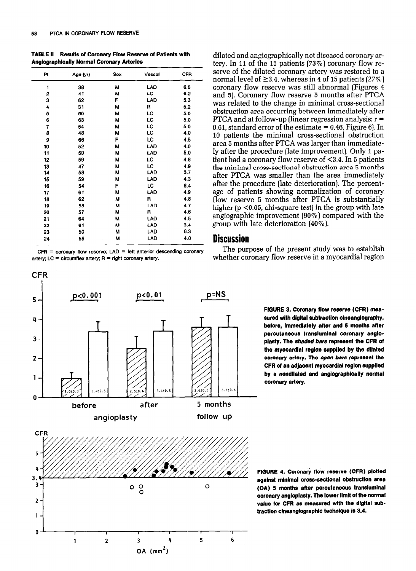TABLE II Results of Coronary Flow Reserve ot Patients with Anglographically Normal Coronary Arteries

| Pt | Age (yr) | Sex | Vessel    | <b>CFR</b> |
|----|----------|-----|-----------|------------|
| 1  | 38       | м   | LAD       | 6.5        |
| 2  | 41       | M   | LC        | 6.2        |
| 3  | 62       | F   | LAD       | 5.3        |
| 4  | 31       | М   | R         | 5.2        |
| 5  | 60       | м   | LC        | 5.0        |
| 6  | 63       | M   | LC        | 5.0        |
| 7  | 54       | м   | <b>LC</b> | 5.0        |
| 8  | 48       | М   | LC        | 4.0        |
| 9  | 66       | F   | LC        | 4.5        |
| 10 | 52       | М   | LAD       | 4.0        |
| 11 | 59       | М   | LAD       | 5.0        |
| 12 | 59       | м   | <b>LC</b> | 4.8        |
| 13 | 47       | М   | LC        | 4.9        |
| 14 | 58       | м   | LAD       | 3.7        |
| 15 | 59       | м   | LAD       | 4.3        |
| 16 | 54       | F   | LC.       | 6.4        |
| 17 | 61       | М   | LAD       | 4.9        |
| 18 | 62       | м   | R         | 4.8        |
| 19 | 58       | м   | LAD       | 4.7        |
| 20 | 57       | м   | R         | 4.6        |
| 21 | 64       | м   | LAD       | 4.5        |
| 22 | 61       | м   | LAD       | 3.4        |
| 23 | 50       | М   | LAD       | 6.3        |
| 24 | 58       | М   | LAD       | 4.0        |

 $CFR = \text{coronary flow reserve}$ ;  $LAD = \text{left anterior descending coronary}$ artery;  $LC =$  circumflex artery;  $R =$  right coronary artery.



dilated and angiographically not diseased coronary artery. In 11 of the 15 patients (73%) coronary flow reserve of the dilated coronary artery was restored to a normal level of  $\geq$ 3.4, whereas in 4 of 15 patients (27%) coronary flow reserve was still abnormal (Figures 4 and 5). Coronary flow reserve 5 months after PTCA was related to the change in minimal cross-sectional obstruction area occurring between immediately after PTCA and at follow-up (linear regression analysis:  $r =$ 0.61, standard error of the estimate  $= 0.46$ , Figure 6). In 10 patients the minimal cross-sectional obstruction area 5 months after PTCA was larger than immediately after the procedure [late improvement), Only 1 patient had a coronary flow reserve of <3.4. In 5 patients the minimal cross-sectional obstruction area 5 months after PTCA was smaller than the area immediately after the procedure [late deterioration). The percentage of patients showing normalization of coronary flow reserve 5 months after PTCA is substantially higher ( $p$  <0.05, chi-square test) in the group with late angiographic improvement (9070) compared with the group with late deterioration (40%).

### **Discussion**

The purpose of the present study was to establish whether coronary flow reserve in a myocardial region

> FIGURE 3. Coronary flow reserve (CFR) measured with digital subtraction cineanglography, before, lmmedlately after and 5 months after percutaneous translumlnal coronary angloplasty. The shaded bars represent the CFR of the myocardial region supplied by the dilated coronary artery. The open bars represent the CFR of an adjacent myocardlal region wpplled by a nondllated and anglographlcally normal coronary artery.

FIGURE 4. Coronary flow reserve (CFR) plotted against mlnlmal cross-sectlonal obstructlon area (OA) 5 months after percutaneous translumlnal coronary angloplasty. The lower limit of the normal value for CFR as measured with the digital subtraction cineanglographic technique is 3.4.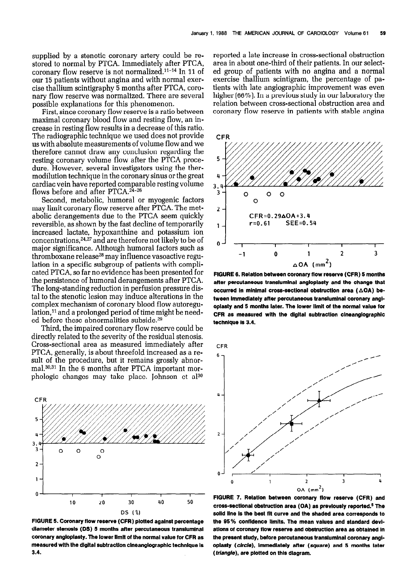supplied by a stenotic coronary artery could be restored to normal by PTCA. Immediately after PTCA, coronary flow reserve is not normalized. $11-14$  In 11 of our 15 patients without angina and with normal exercise thallium scintigraphy 5 months after PTCA, coronary flow reserve was normalized. There are several possible explanations for this phenomenon.

First, since coronary flow reserve is a ratio between maximal coronary blood flow and resting flow, an increase in resting flow results in a decrease of this ratio. The radiographic technique we used does not provide us with absolute measurements of volume flow and we therefore cannot draw any conclusion regarding the resting coronary volume flow after the PTCA procedure. However, several investigators using the thermodilution technique in the coronary sinus or the great cardiac vein have reported comparable resting volume flows before and after PTCA.24-26

Second, metabolic, humoral or myogenic factors may limit coronary flow reserve after PTCA. The metabolic derangements due to the PTCA seem quickly reversible, as shown by the fast decline of temporarily increased lactate, hypoxanthine and potassium ion concentrations, <sup>24,27</sup> and are therefore not likely to be of major significance. Although humoral factors such as thromboxane release<sup>28</sup> may influence vasoactive regulation in a specific subgroup of patients with complicated PTCA, so far no evidence has been presented for the persistence of humoral derangements after PTCA. The long-standing reduction in perfusion pressure distal to the stenotic lesion may induce alterations in the complex mechanism of coronary blood flow autoregulation,<sup>11</sup> and a prolonged period of time might be needed before these abnormalities subside.29

Third, the impaired coronary flow reserve could be directly related to the severity of the residual stenosis. Cross-sectional area as measured immediately after PTCA, generally, is about threefold increased as a result of the procedure, but it remains grossly abnormal.<sup>30,31</sup> In the 6 months after PTCA important morphologic changes may take place. Johnson et a130



FIGURE 5. Coronary flow reserve (CFR) plotted against percentage diameter stenosis (DS) 5 months after percutaneous translumlnal coronary angloplasty. The lower limit of the normal value for CFR as measured wlth the dlgltal subtraction clneanglographlc technique Is 3.4.

reported a late increase in cross-sectional obstruction area in about one-third of their patients. In our selected group of patients with no angina and a normal exercise thallium scintigram, the percentage of patients with late angiographic improvement was even higher (66%). In a previous study in our laboratory the relation between cross-sectional obstruction area and coronary flow reserve in patients with stable angina



FIGURE 6. Relation between coronary flow reserve (CFR) 5 months after percutaneous transluminal angloplasty and the change that occurred in minimal cross-sectional obstruction area ( $\triangle$ OA) between Immediately after percutaneous translumlnal coronary angloplasty and 5 months later. The lower llmlt of the normal value for CFR as measured with the digital subtraction clneanglographlc technique Is 3.4.



FIGURE 7. Relation between coronary flow reserve (CFR) and cross-sectional obstructlon area (OA) as prevlously reported.5 The solid line is the best fit curve and the shaded area corresponds to the 95% confidence limits. The mean values and standard deviations of coronary flow reserve and obstructlon area as obtalned In the present study, before percutaneous translumlnal coronary angloplasty (circle), immediately after (square) and 5 months later (*triangle*), are plotted on this diagram.